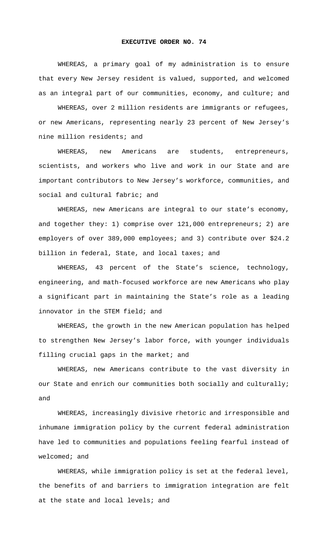## **EXECUTIVE ORDER NO. 74**

 WHEREAS, a primary goal of my administration is to ensure that every New Jersey resident is valued, supported, and welcomed as an integral part of our communities, economy, and culture; and

 WHEREAS, over 2 million residents are immigrants or refugees, or new Americans, representing nearly 23 percent of New Jersey's nine million residents; and

 WHEREAS, new Americans are students, entrepreneurs, scientists, and workers who live and work in our State and are important contributors to New Jersey's workforce, communities, and social and cultural fabric; and

 WHEREAS, new Americans are integral to our state's economy, and together they: 1) comprise over 121,000 entrepreneurs; 2) are employers of over 389,000 employees; and 3) contribute over \$24.2 billion in federal, State, and local taxes; and

 WHEREAS, 43 percent of the State's science, technology, engineering, and math-focused workforce are new Americans who play a significant part in maintaining the State's role as a leading innovator in the STEM field; and

 WHEREAS, the growth in the new American population has helped to strengthen New Jersey's labor force, with younger individuals filling crucial gaps in the market; and

 WHEREAS, new Americans contribute to the vast diversity in our State and enrich our communities both socially and culturally; and

 WHEREAS, increasingly divisive rhetoric and irresponsible and inhumane immigration policy by the current federal administration have led to communities and populations feeling fearful instead of welcomed; and

 WHEREAS, while immigration policy is set at the federal level, the benefits of and barriers to immigration integration are felt at the state and local levels; and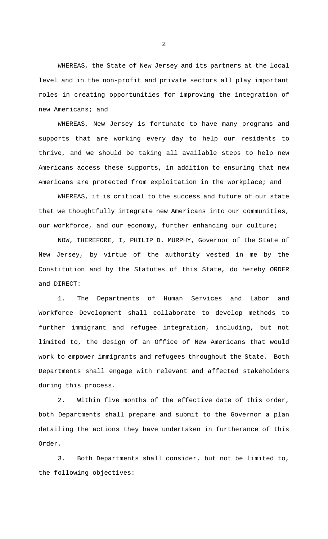WHEREAS, the State of New Jersey and its partners at the local level and in the non-profit and private sectors all play important roles in creating opportunities for improving the integration of new Americans; and

 WHEREAS, New Jersey is fortunate to have many programs and supports that are working every day to help our residents to thrive, and we should be taking all available steps to help new Americans access these supports, in addition to ensuring that new Americans are protected from exploitation in the workplace; and

 WHEREAS, it is critical to the success and future of our state that we thoughtfully integrate new Americans into our communities, our workforce, and our economy, further enhancing our culture;

 NOW, THEREFORE, I, PHILIP D. MURPHY, Governor of the State of New Jersey, by virtue of the authority vested in me by the Constitution and by the Statutes of this State, do hereby ORDER and DIRECT:

1. The Departments of Human Services and Labor and Workforce Development shall collaborate to develop methods to further immigrant and refugee integration, including, but not limited to, the design of an Office of New Americans that would work to empower immigrants and refugees throughout the State. Both Departments shall engage with relevant and affected stakeholders during this process.

2. Within five months of the effective date of this order, both Departments shall prepare and submit to the Governor a plan detailing the actions they have undertaken in furtherance of this Order.

3. Both Departments shall consider, but not be limited to, the following objectives:

2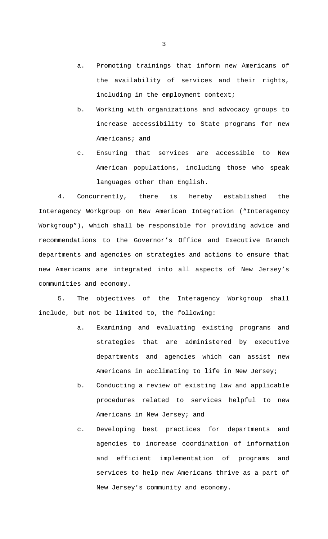- a. Promoting trainings that inform new Americans of the availability of services and their rights, including in the employment context;
- b. Working with organizations and advocacy groups to increase accessibility to State programs for new Americans; and
- c. Ensuring that services are accessible to New American populations, including those who speak languages other than English.

4. Concurrently, there is hereby established the Interagency Workgroup on New American Integration ("Interagency Workgroup"), which shall be responsible for providing advice and recommendations to the Governor's Office and Executive Branch departments and agencies on strategies and actions to ensure that new Americans are integrated into all aspects of New Jersey's communities and economy.

5. The objectives of the Interagency Workgroup shall include, but not be limited to, the following:

- a. Examining and evaluating existing programs and strategies that are administered by executive departments and agencies which can assist new Americans in acclimating to life in New Jersey;
- b. Conducting a review of existing law and applicable procedures related to services helpful to new Americans in New Jersey; and
- c. Developing best practices for departments and agencies to increase coordination of information and efficient implementation of programs and services to help new Americans thrive as a part of New Jersey's community and economy.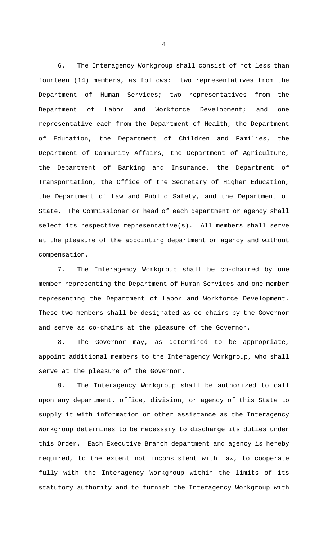6. The Interagency Workgroup shall consist of not less than fourteen (14) members, as follows: two representatives from the Department of Human Services; two representatives from the Department of Labor and Workforce Development; and one representative each from the Department of Health, the Department of Education, the Department of Children and Families, the Department of Community Affairs, the Department of Agriculture, the Department of Banking and Insurance, the Department of Transportation, the Office of the Secretary of Higher Education, the Department of Law and Public Safety, and the Department of State. The Commissioner or head of each department or agency shall select its respective representative(s). All members shall serve at the pleasure of the appointing department or agency and without compensation.

7. The Interagency Workgroup shall be co-chaired by one member representing the Department of Human Services and one member representing the Department of Labor and Workforce Development. These two members shall be designated as co-chairs by the Governor and serve as co-chairs at the pleasure of the Governor.

8. The Governor may, as determined to be appropriate, appoint additional members to the Interagency Workgroup, who shall serve at the pleasure of the Governor.

9. The Interagency Workgroup shall be authorized to call upon any department, office, division, or agency of this State to supply it with information or other assistance as the Interagency Workgroup determines to be necessary to discharge its duties under this Order. Each Executive Branch department and agency is hereby required, to the extent not inconsistent with law, to cooperate fully with the Interagency Workgroup within the limits of its statutory authority and to furnish the Interagency Workgroup with

4